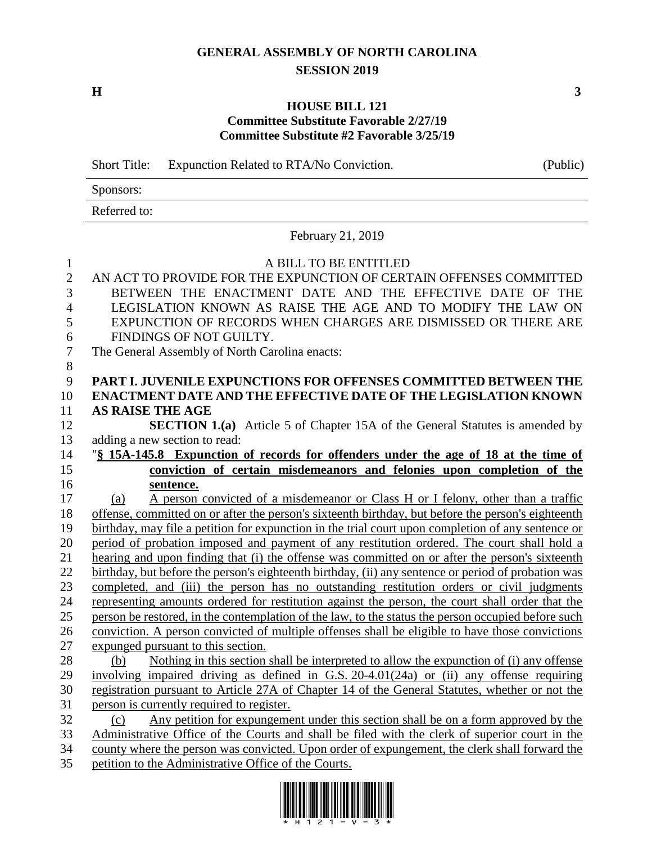## **GENERAL ASSEMBLY OF NORTH CAROLINA SESSION 2019**

**H 3**

## **HOUSE BILL 121 Committee Substitute Favorable 2/27/19 Committee Substitute #2 Favorable 3/25/19**

Short Title: Expunction Related to RTA/No Conviction. (Public) Sponsors: Referred to: February 21, 2019 A BILL TO BE ENTITLED AN ACT TO PROVIDE FOR THE EXPUNCTION OF CERTAIN OFFENSES COMMITTED BETWEEN THE ENACTMENT DATE AND THE EFFECTIVE DATE OF THE LEGISLATION KNOWN AS RAISE THE AGE AND TO MODIFY THE LAW ON EXPUNCTION OF RECORDS WHEN CHARGES ARE DISMISSED OR THERE ARE FINDINGS OF NOT GUILTY. The General Assembly of North Carolina enacts: **PART I. JUVENILE EXPUNCTIONS FOR OFFENSES COMMITTED BETWEEN THE ENACTMENT DATE AND THE EFFECTIVE DATE OF THE LEGISLATION KNOWN AS RAISE THE AGE SECTION 1.(a)** Article 5 of Chapter 15A of the General Statutes is amended by adding a new section to read: "**§ 15A-145.8 Expunction of records for offenders under the age of 18 at the time of conviction of certain misdemeanors and felonies upon completion of the sentence.** (a) A person convicted of a misdemeanor or Class H or I felony, other than a traffic offense, committed on or after the person's sixteenth birthday, but before the person's eighteenth birthday, may file a petition for expunction in the trial court upon completion of any sentence or period of probation imposed and payment of any restitution ordered. The court shall hold a hearing and upon finding that (i) the offense was committed on or after the person's sixteenth birthday, but before the person's eighteenth birthday, (ii) any sentence or period of probation was completed, and (iii) the person has no outstanding restitution orders or civil judgments representing amounts ordered for restitution against the person, the court shall order that the person be restored, in the contemplation of the law, to the status the person occupied before such conviction. A person convicted of multiple offenses shall be eligible to have those convictions expunged pursuant to this section. 28 (b) Nothing in this section shall be interpreted to allow the expunction of (i) any offense involving impaired driving as defined in G.S. 20-4.01(24a) or (ii) any offense requiring registration pursuant to Article 27A of Chapter 14 of the General Statutes, whether or not the person is currently required to register. (c) Any petition for expungement under this section shall be on a form approved by the Administrative Office of the Courts and shall be filed with the clerk of superior court in the county where the person was convicted. Upon order of expungement, the clerk shall forward the

petition to the Administrative Office of the Courts.

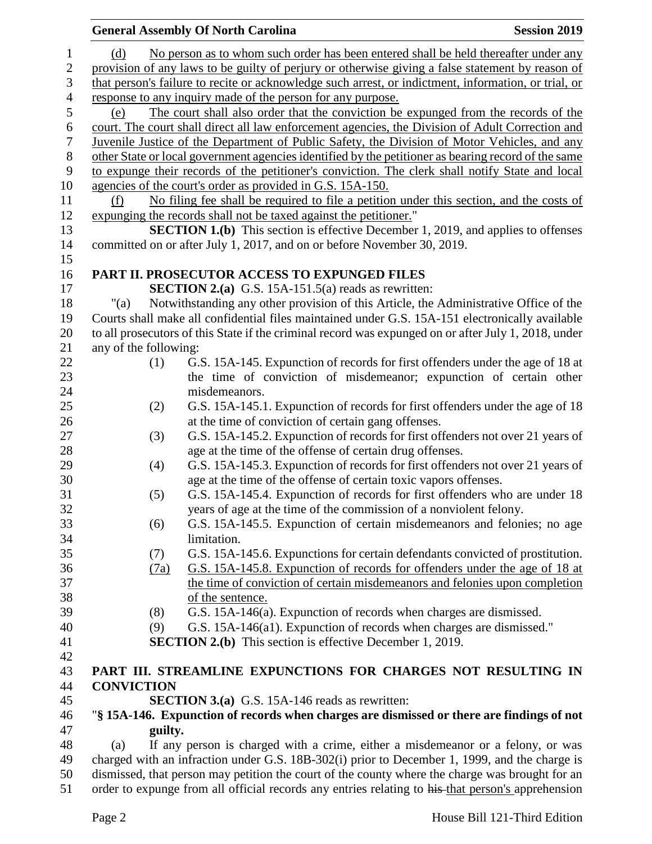|                                                                                                  |         | <b>General Assembly Of North Carolina</b>                                                            | <b>Session 2019</b> |
|--------------------------------------------------------------------------------------------------|---------|------------------------------------------------------------------------------------------------------|---------------------|
| (d)                                                                                              |         | No person as to whom such order has been entered shall be held thereafter under any                  |                     |
| provision of any laws to be guilty of perjury or otherwise giving a false statement by reason of |         |                                                                                                      |                     |
|                                                                                                  |         | that person's failure to recite or acknowledge such arrest, or indictment, information, or trial, or |                     |
|                                                                                                  |         | response to any inquiry made of the person for any purpose.                                          |                     |
| (e)                                                                                              |         | The court shall also order that the conviction be expunged from the records of the                   |                     |
|                                                                                                  |         | court. The court shall direct all law enforcement agencies, the Division of Adult Correction and     |                     |
|                                                                                                  |         | Juvenile Justice of the Department of Public Safety, the Division of Motor Vehicles, and any         |                     |
|                                                                                                  |         | other State or local government agencies identified by the petitioner as bearing record of the same  |                     |
|                                                                                                  |         | to expunge their records of the petitioner's conviction. The clerk shall notify State and local      |                     |
|                                                                                                  |         | agencies of the court's order as provided in G.S. 15A-150.                                           |                     |
| (f)                                                                                              |         | No filing fee shall be required to file a petition under this section, and the costs of              |                     |
|                                                                                                  |         | expunging the records shall not be taxed against the petitioner."                                    |                     |
|                                                                                                  |         | <b>SECTION 1.(b)</b> This section is effective December 1, 2019, and applies to offenses             |                     |
|                                                                                                  |         | committed on or after July 1, 2017, and on or before November 30, 2019.                              |                     |
|                                                                                                  |         |                                                                                                      |                     |
|                                                                                                  |         | PART II. PROSECUTOR ACCESS TO EXPUNGED FILES                                                         |                     |
|                                                                                                  |         | <b>SECTION 2.(a)</b> G.S. 15A-151.5(a) reads as rewritten:                                           |                     |
| "(a)                                                                                             |         | Notwithstanding any other provision of this Article, the Administrative Office of the                |                     |
|                                                                                                  |         | Courts shall make all confidential files maintained under G.S. 15A-151 electronically available      |                     |
|                                                                                                  |         | to all prosecutors of this State if the criminal record was expunged on or after July 1, 2018, under |                     |
| any of the following:                                                                            |         |                                                                                                      |                     |
|                                                                                                  | (1)     | G.S. 15A-145. Expunction of records for first offenders under the age of 18 at                       |                     |
|                                                                                                  |         | the time of conviction of misdemeanor; expunction of certain other                                   |                     |
|                                                                                                  |         | misdemeanors.                                                                                        |                     |
|                                                                                                  | (2)     | G.S. 15A-145.1. Expunction of records for first offenders under the age of 18                        |                     |
|                                                                                                  |         | at the time of conviction of certain gang offenses.                                                  |                     |
|                                                                                                  | (3)     | G.S. 15A-145.2. Expunction of records for first offenders not over 21 years of                       |                     |
|                                                                                                  |         | age at the time of the offense of certain drug offenses.                                             |                     |
|                                                                                                  | (4)     | G.S. 15A-145.3. Expunction of records for first offenders not over 21 years of                       |                     |
|                                                                                                  |         | age at the time of the offense of certain toxic vapors offenses.                                     |                     |
|                                                                                                  | (5)     | G.S. 15A-145.4. Expunction of records for first offenders who are under 18                           |                     |
|                                                                                                  |         | years of age at the time of the commission of a nonviolent felony.                                   |                     |
|                                                                                                  | (6)     | G.S. 15A-145.5. Expunction of certain misdemeanors and felonies; no age                              |                     |
|                                                                                                  |         | limitation.                                                                                          |                     |
|                                                                                                  | (7)     | G.S. 15A-145.6. Expunctions for certain defendants convicted of prostitution.                        |                     |
|                                                                                                  | (7a)    | G.S. 15A-145.8. Expunction of records for offenders under the age of 18 at                           |                     |
|                                                                                                  |         | the time of conviction of certain misdemeanors and felonies upon completion                          |                     |
|                                                                                                  |         | of the sentence.                                                                                     |                     |
|                                                                                                  | (8)     | G.S. 15A-146(a). Expunction of records when charges are dismissed.                                   |                     |
|                                                                                                  | (9)     | G.S. 15A-146(a1). Expunction of records when charges are dismissed."                                 |                     |
|                                                                                                  |         | <b>SECTION 2.(b)</b> This section is effective December 1, 2019.                                     |                     |
|                                                                                                  |         |                                                                                                      |                     |
|                                                                                                  |         | PART III. STREAMLINE EXPUNCTIONS FOR CHARGES NOT RESULTING IN                                        |                     |
| <b>CONVICTION</b>                                                                                |         |                                                                                                      |                     |
|                                                                                                  |         | <b>SECTION 3.(a)</b> G.S. 15A-146 reads as rewritten:                                                |                     |
|                                                                                                  |         | "§ 15A-146. Expunction of records when charges are dismissed or there are findings of not            |                     |
|                                                                                                  | guilty. |                                                                                                      |                     |
| (a)                                                                                              |         | If any person is charged with a crime, either a misdemeanor or a felony, or was                      |                     |
|                                                                                                  |         | charged with an infraction under G.S. 18B-302(i) prior to December 1, 1999, and the charge is        |                     |
| dismissed, that person may petition the court of the county where the charge was brought for an  |         |                                                                                                      |                     |
|                                                                                                  |         | order to expunge from all official records any entries relating to his-that person's apprehension    |                     |